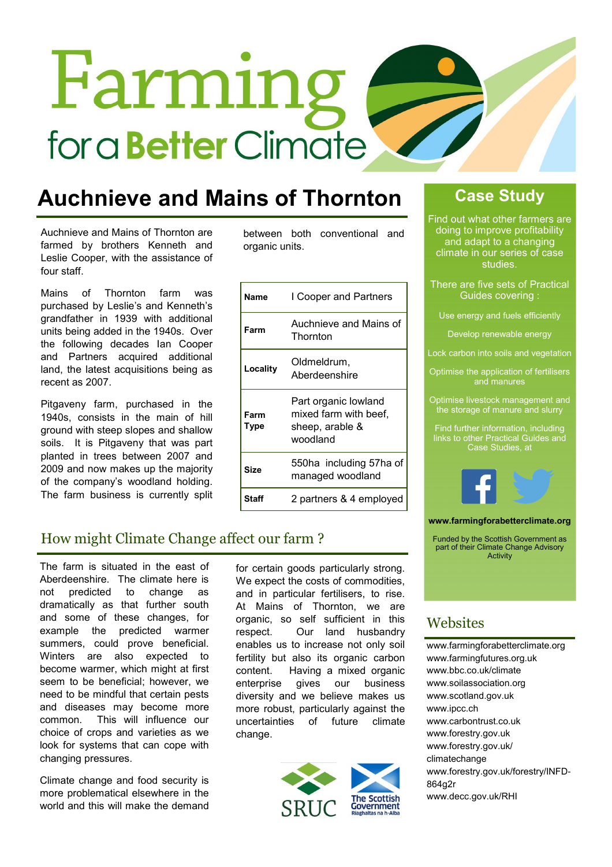# Farming for a **Better** Climate

# Auchnieve and Mains of Thornton

Auchnieve and Mains of Thornton are farmed by brothers Kenneth and Leslie Cooper, with the assistance of four staff.

Mains of Thornton farm was purchased by Leslie's and Kenneth's grandfather in 1939 with additional units being added in the 1940s. Over the following decades Ian Cooper and Partners acquired additional land, the latest acquisitions being as recent as 2007.

Pitgaveny farm, purchased in the 1940s, consists in the main of hill ground with steep slopes and shallow soils. It is Pitgaveny that was part planted in trees between 2007 and 2009 and now makes up the majority of the company's woodland holding. The farm business is currently split

between both conventional and organic units.

| Name         | I Cooper and Partners                                                        |
|--------------|------------------------------------------------------------------------------|
| Farm         | Auchnieve and Mains of<br>Thornton                                           |
| Locality     | Oldmeldrum,<br>Aberdeenshire                                                 |
| Farm<br>Type | Part organic lowland<br>mixed farm with beef,<br>sheep, arable &<br>woodland |
| Size         | 550ha including 57ha of<br>managed woodland                                  |
| Sta          | 2 partners & 4 employed                                                      |

# Case Study

Find out what other farmers are doing to improve profitability and adapt to a changing climate in our series of case studies.

There are five sets of Practical Guides covering :

Use energy and fuels efficiently

Develop renewable energy

Lock carbon into soils and vegetation

Optimise the application of fertilisers and manures

Optimise livestock management and the storage of manure and slurry

Find further information, including links to other Practical Guides and Case Studies, at



#### www.farmingforabetterclimate.org

Funded by the Scottish Government as part of their Climate Change Advisory Activity

# How might Climate Change affect our farm ?

The farm is situated in the east of Aberdeenshire. The climate here is not predicted to change as dramatically as that further south and some of these changes, for example the predicted warmer summers, could prove beneficial. Winters are also expected to become warmer, which might at first seem to be beneficial; however, we need to be mindful that certain pests and diseases may become more common. This will influence our choice of crops and varieties as we look for systems that can cope with changing pressures.

Climate change and food security is more problematical elsewhere in the world and this will make the demand

for certain goods particularly strong. We expect the costs of commodities, and in particular fertilisers, to rise. At Mains of Thornton, we are organic, so self sufficient in this respect. Our land husbandry enables us to increase not only soil fertility but also its organic carbon content. Having a mixed organic enterprise gives our business diversity and we believe makes us more robust, particularly against the uncertainties of future climate change.



# **Websites**

www.farmingforabetterclimate.org www.farmingfutures.org.uk www.bbc.co.uk/climate www.soilassociation.org www.scotland.gov.uk www.ipcc.ch www.carbontrust.co.uk www.forestry.gov.uk www.forestry.gov.uk/ climatechange www.forestry.gov.uk/forestry/INFD-864g2r www.decc.gov.uk/RHI